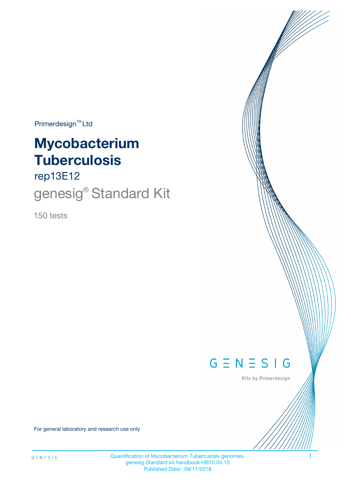$Primerdesign^{\text{TM}}Ltd$ 

# **Mycobacterium Tuberculosis**

rep13E12

genesig<sup>®</sup> Standard Kit

150 tests



Kits by Primerdesign

For general laboratory and research use only

Quantification of Mycobacterium Tuberculosis genomes. 1 genesig Standard kit handbook HB10.04.10 Published Date: 09/11/2018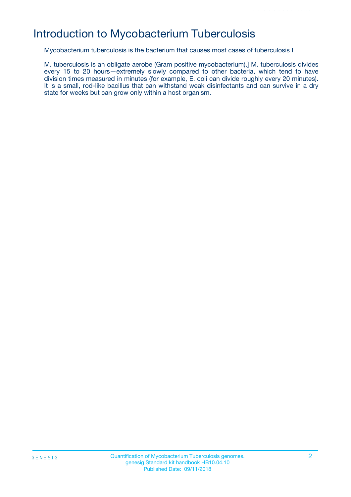# Introduction to Mycobacterium Tuberculosis

Mycobacterium tuberculosis is the bacterium that causes most cases of tuberculosis I

M. tuberculosis is an obligate aerobe (Gram positive mycobacterium).] M. tuberculosis divides every 15 to 20 hours—extremely slowly compared to other bacteria, which tend to have division times measured in minutes (for example, E. coli can divide roughly every 20 minutes). It is a small, rod-like bacillus that can withstand weak disinfectants and can survive in a dry state for weeks but can grow only within a host organism.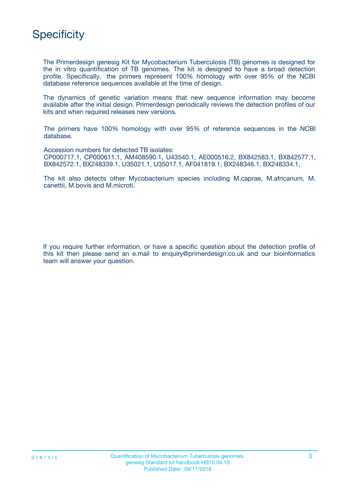

The Primerdesign genesig Kit for Mycobacterium Tuberculosis (TB) genomes is designed for the in vitro quantification of TB genomes. The kit is designed to have a broad detection profile. Specifically, the primers represent 100% homology with over 95% of the NCBI database reference sequences available at the time of design.

The dynamics of genetic variation means that new sequence information may become available after the initial design. Primerdesign periodically reviews the detection profiles of our kits and when required releases new versions.

The primers have 100% homology with over 95% of reference sequences in the NCBI database.

Accession numbers for detected TB isolates: CP000717.1, CP000611.1, AM408590.1, U43540.1, AE000516.2, BX842583.1, BX842577.1, BX842572.1, BX248339.1, U35021.1, U35017.1, AF041819.1, BX248346.1, BX248334.1,

The kit also detects other Mycobacterium species including M.caprae, M.africanum, M. canettii, M.bovis and M.microti.

If you require further information, or have a specific question about the detection profile of this kit then please send an e.mail to enquiry@primerdesign.co.uk and our bioinformatics team will answer your question.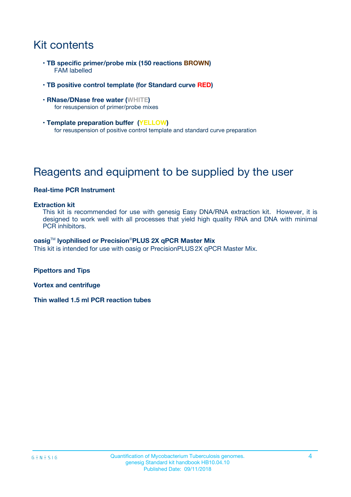# Kit contents

- **TB specific primer/probe mix (150 reactions BROWN)** FAM labelled
- **TB positive control template (for Standard curve RED)**
- **RNase/DNase free water (WHITE)** for resuspension of primer/probe mixes
- **Template preparation buffer (YELLOW)** for resuspension of positive control template and standard curve preparation

# Reagents and equipment to be supplied by the user

#### **Real-time PCR Instrument**

#### **Extraction kit**

This kit is recommended for use with genesig Easy DNA/RNA extraction kit. However, it is designed to work well with all processes that yield high quality RNA and DNA with minimal PCR inhibitors.

#### **oasig**TM **lyophilised or Precision**®**PLUS 2X qPCR Master Mix**

This kit is intended for use with oasig or PrecisionPLUS2X qPCR Master Mix.

**Pipettors and Tips**

**Vortex and centrifuge**

**Thin walled 1.5 ml PCR reaction tubes**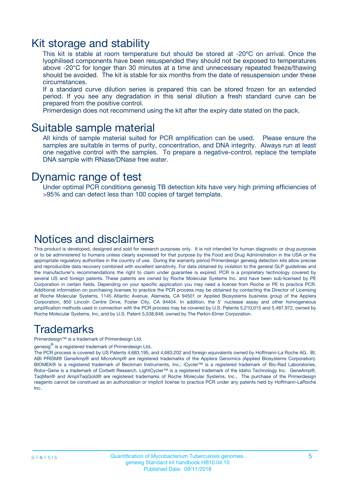### Kit storage and stability

This kit is stable at room temperature but should be stored at -20ºC on arrival. Once the lyophilised components have been resuspended they should not be exposed to temperatures above -20°C for longer than 30 minutes at a time and unnecessary repeated freeze/thawing should be avoided. The kit is stable for six months from the date of resuspension under these circumstances.

If a standard curve dilution series is prepared this can be stored frozen for an extended period. If you see any degradation in this serial dilution a fresh standard curve can be prepared from the positive control.

Primerdesign does not recommend using the kit after the expiry date stated on the pack.

### Suitable sample material

All kinds of sample material suited for PCR amplification can be used. Please ensure the samples are suitable in terms of purity, concentration, and DNA integrity. Always run at least one negative control with the samples. To prepare a negative-control, replace the template DNA sample with RNase/DNase free water.

### Dynamic range of test

Under optimal PCR conditions genesig TB detection kits have very high priming efficiencies of >95% and can detect less than 100 copies of target template.

### Notices and disclaimers

This product is developed, designed and sold for research purposes only. It is not intended for human diagnostic or drug purposes or to be administered to humans unless clearly expressed for that purpose by the Food and Drug Administration in the USA or the appropriate regulatory authorities in the country of use. During the warranty period Primerdesign genesig detection kits allow precise and reproducible data recovery combined with excellent sensitivity. For data obtained by violation to the general GLP guidelines and the manufacturer's recommendations the right to claim under guarantee is expired. PCR is a proprietary technology covered by several US and foreign patents. These patents are owned by Roche Molecular Systems Inc. and have been sub-licensed by PE Corporation in certain fields. Depending on your specific application you may need a license from Roche or PE to practice PCR. Additional information on purchasing licenses to practice the PCR process may be obtained by contacting the Director of Licensing at Roche Molecular Systems, 1145 Atlantic Avenue, Alameda, CA 94501 or Applied Biosystems business group of the Applera Corporation, 850 Lincoln Centre Drive, Foster City, CA 94404. In addition, the 5' nuclease assay and other homogeneous amplification methods used in connection with the PCR process may be covered by U.S. Patents 5,210,015 and 5,487,972, owned by Roche Molecular Systems, Inc, and by U.S. Patent 5,538,848, owned by The Perkin-Elmer Corporation.

### Trademarks

Primerdesign™ is a trademark of Primerdesign Ltd.

genesig $^\circledR$  is a registered trademark of Primerdesign Ltd.

The PCR process is covered by US Patents 4,683,195, and 4,683,202 and foreign equivalents owned by Hoffmann-La Roche AG. BI, ABI PRISM® GeneAmp® and MicroAmp® are registered trademarks of the Applera Genomics (Applied Biosystems Corporation). BIOMEK® is a registered trademark of Beckman Instruments, Inc.; iCycler™ is a registered trademark of Bio-Rad Laboratories, Rotor-Gene is a trademark of Corbett Research. LightCycler™ is a registered trademark of the Idaho Technology Inc. GeneAmp®, TaqMan® and AmpliTaqGold® are registered trademarks of Roche Molecular Systems, Inc., The purchase of the Primerdesign reagents cannot be construed as an authorization or implicit license to practice PCR under any patents held by Hoffmann-LaRoche Inc.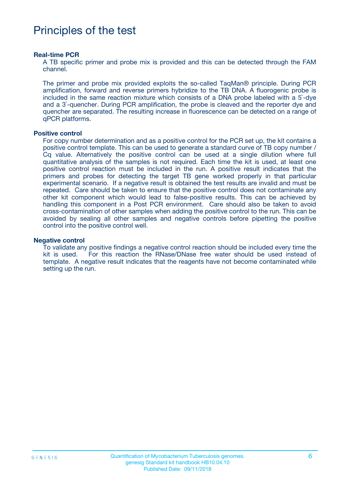## Principles of the test

#### **Real-time PCR**

A TB specific primer and probe mix is provided and this can be detected through the FAM channel.

The primer and probe mix provided exploits the so-called TaqMan® principle. During PCR amplification, forward and reverse primers hybridize to the TB DNA. A fluorogenic probe is included in the same reaction mixture which consists of a DNA probe labeled with a 5`-dye and a 3`-quencher. During PCR amplification, the probe is cleaved and the reporter dye and quencher are separated. The resulting increase in fluorescence can be detected on a range of qPCR platforms.

#### **Positive control**

For copy number determination and as a positive control for the PCR set up, the kit contains a positive control template. This can be used to generate a standard curve of TB copy number / Cq value. Alternatively the positive control can be used at a single dilution where full quantitative analysis of the samples is not required. Each time the kit is used, at least one positive control reaction must be included in the run. A positive result indicates that the primers and probes for detecting the target TB gene worked properly in that particular experimental scenario. If a negative result is obtained the test results are invalid and must be repeated. Care should be taken to ensure that the positive control does not contaminate any other kit component which would lead to false-positive results. This can be achieved by handling this component in a Post PCR environment. Care should also be taken to avoid cross-contamination of other samples when adding the positive control to the run. This can be avoided by sealing all other samples and negative controls before pipetting the positive control into the positive control well.

#### **Negative control**

To validate any positive findings a negative control reaction should be included every time the kit is used. For this reaction the RNase/DNase free water should be used instead of template. A negative result indicates that the reagents have not become contaminated while setting up the run.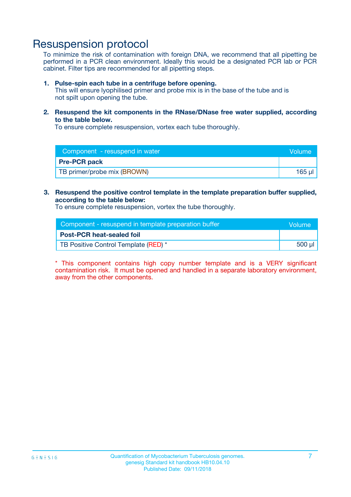### Resuspension protocol

To minimize the risk of contamination with foreign DNA, we recommend that all pipetting be performed in a PCR clean environment. Ideally this would be a designated PCR lab or PCR cabinet. Filter tips are recommended for all pipetting steps.

#### **1. Pulse-spin each tube in a centrifuge before opening.**

This will ensure lyophilised primer and probe mix is in the base of the tube and is not spilt upon opening the tube.

**2. Resuspend the kit components in the RNase/DNase free water supplied, according to the table below.**

To ensure complete resuspension, vortex each tube thoroughly.

| Component - resuspend in water<br>Volume |        |
|------------------------------------------|--------|
| <b>Pre-PCR pack</b>                      |        |
| TB primer/probe mix (BROWN)              | 165 ul |

#### **3. Resuspend the positive control template in the template preparation buffer supplied, according to the table below:**

To ensure complete resuspension, vortex the tube thoroughly.

| Component - resuspend in template preparation buffer |        |  |
|------------------------------------------------------|--------|--|
| <b>Post-PCR heat-sealed foil</b>                     |        |  |
| TB Positive Control Template (RED) *                 | 500 µl |  |

\* This component contains high copy number template and is a VERY significant contamination risk. It must be opened and handled in a separate laboratory environment, away from the other components.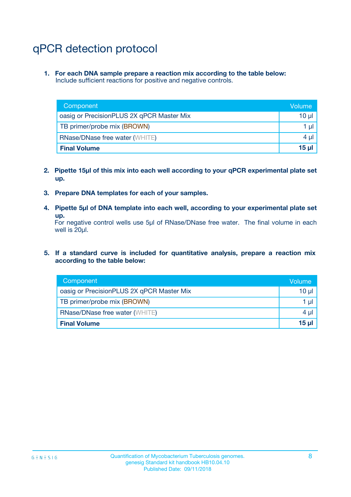# qPCR detection protocol

**1. For each DNA sample prepare a reaction mix according to the table below:** Include sufficient reactions for positive and negative controls.

| Component                                 | Volume          |
|-------------------------------------------|-----------------|
| oasig or PrecisionPLUS 2X qPCR Master Mix | 10 $\mu$        |
| TB primer/probe mix (BROWN)               | 1 $\mu$         |
| <b>RNase/DNase free water (WHITE)</b>     | $4 \mu$         |
| <b>Final Volume</b>                       | 15 <sub>µ</sub> |

- **2. Pipette 15µl of this mix into each well according to your qPCR experimental plate set up.**
- **3. Prepare DNA templates for each of your samples.**
- **4. Pipette 5µl of DNA template into each well, according to your experimental plate set up.**

For negative control wells use 5µl of RNase/DNase free water. The final volume in each well is 20µl.

**5. If a standard curve is included for quantitative analysis, prepare a reaction mix according to the table below:**

| Component                                 | Volume          |
|-------------------------------------------|-----------------|
| oasig or PrecisionPLUS 2X qPCR Master Mix | 10 µl           |
| TB primer/probe mix (BROWN)               | 1 µI            |
| <b>RNase/DNase free water (WHITE)</b>     | $4 \mu$         |
| <b>Final Volume</b>                       | 15 <sub>µ</sub> |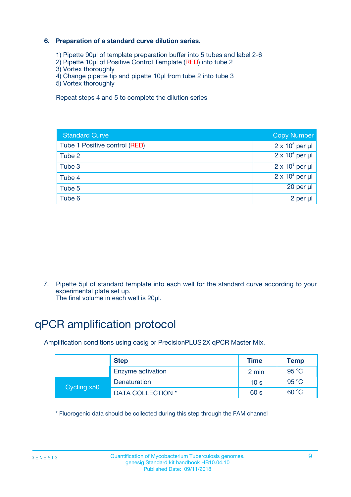#### **6. Preparation of a standard curve dilution series.**

- 1) Pipette 90µl of template preparation buffer into 5 tubes and label 2-6
- 2) Pipette 10µl of Positive Control Template (RED) into tube 2
- 3) Vortex thoroughly
- 4) Change pipette tip and pipette 10µl from tube 2 into tube 3
- 5) Vortex thoroughly

Repeat steps 4 and 5 to complete the dilution series

| <b>Standard Curve</b>         | <b>Copy Number</b>     |
|-------------------------------|------------------------|
| Tube 1 Positive control (RED) | $2 \times 10^5$ per µl |
| Tube 2                        | $2 \times 10^4$ per µl |
| Tube 3                        | $2 \times 10^3$ per µl |
| Tube 4                        | $2 \times 10^2$ per µl |
| Tube 5                        | 20 per µl              |
| Tube 6                        | $2$ per $\mu$          |

7. Pipette 5µl of standard template into each well for the standard curve according to your experimental plate set up.

#### The final volume in each well is 20µl.

# qPCR amplification protocol

Amplification conditions using oasig or PrecisionPLUS2X qPCR Master Mix.

|             | <b>Step</b>       | <b>Time</b>     | Temp    |
|-------------|-------------------|-----------------|---------|
|             | Enzyme activation | 2 min           | 95 $°C$ |
| Cycling x50 | Denaturation      | 10 <sub>s</sub> | 95 °C   |
|             | DATA COLLECTION * | 60 s            | 60 °C   |

\* Fluorogenic data should be collected during this step through the FAM channel